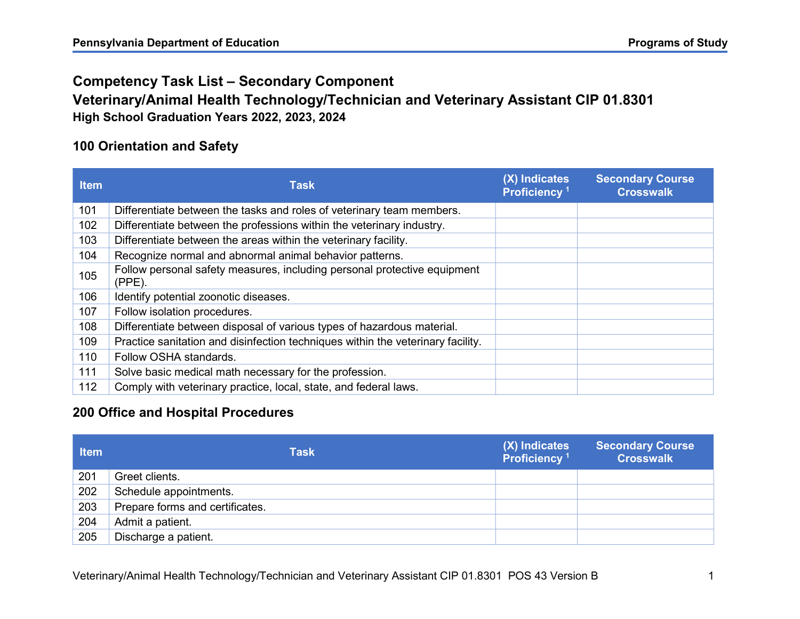# Competency Task List – Secondary Component

### Veterinary/Animal Health Technology/Technician and Veterinary Assistant CIP 01.8301 High School Graduation Years 2022, 2023, 2024

#### 100 Orientation and Safety

| <b>Item</b> | <b>Task</b>                                                                           | (X) Indicates<br>Proficiency <sup>1</sup> | <b>Secondary Course</b><br><b>Crosswalk</b> |
|-------------|---------------------------------------------------------------------------------------|-------------------------------------------|---------------------------------------------|
| 101         | Differentiate between the tasks and roles of veterinary team members.                 |                                           |                                             |
| 102         | Differentiate between the professions within the veterinary industry.                 |                                           |                                             |
| 103         | Differentiate between the areas within the veterinary facility.                       |                                           |                                             |
| 104         | Recognize normal and abnormal animal behavior patterns.                               |                                           |                                             |
| 105         | Follow personal safety measures, including personal protective equipment<br>$(PPE)$ . |                                           |                                             |
| 106         | Identify potential zoonotic diseases.                                                 |                                           |                                             |
| 107         | Follow isolation procedures.                                                          |                                           |                                             |
| 108         | Differentiate between disposal of various types of hazardous material.                |                                           |                                             |
| 109         | Practice sanitation and disinfection techniques within the veterinary facility.       |                                           |                                             |
| 110         | Follow OSHA standards.                                                                |                                           |                                             |
| 111         | Solve basic medical math necessary for the profession.                                |                                           |                                             |
| 112         | Comply with veterinary practice, local, state, and federal laws.                      |                                           |                                             |

#### 200 Office and Hospital Procedures

| <b>Item</b> | <b>Task</b>                     | (X) Indicates<br>Proficiency <sup>1</sup> | <b>Secondary Course</b><br><b>Crosswalk</b> |
|-------------|---------------------------------|-------------------------------------------|---------------------------------------------|
| 201         | Greet clients.                  |                                           |                                             |
| 202         | Schedule appointments.          |                                           |                                             |
| 203         | Prepare forms and certificates. |                                           |                                             |
| 204         | Admit a patient.                |                                           |                                             |
| 205         | Discharge a patient.            |                                           |                                             |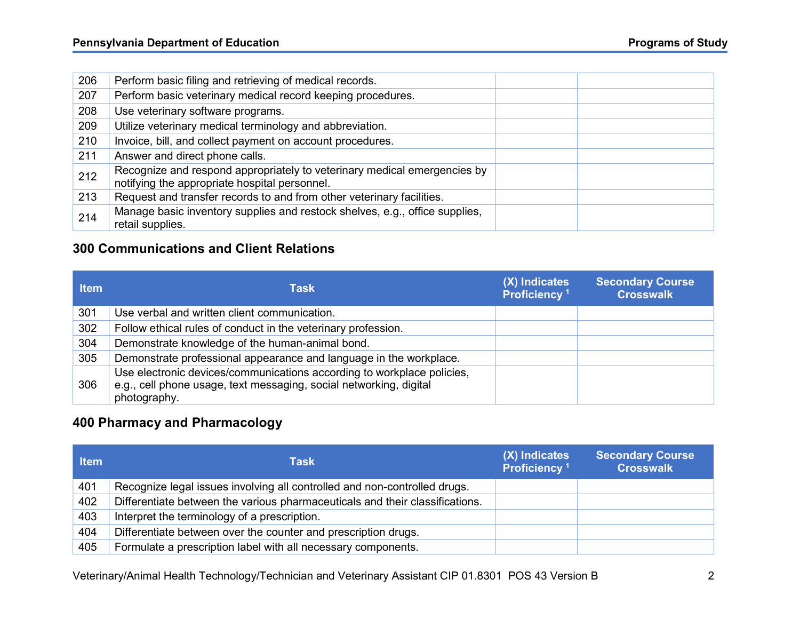| 206 | Perform basic filing and retrieving of medical records.                                                                   |  |
|-----|---------------------------------------------------------------------------------------------------------------------------|--|
| 207 | Perform basic veterinary medical record keeping procedures.                                                               |  |
| 208 | Use veterinary software programs.                                                                                         |  |
| 209 | Utilize veterinary medical terminology and abbreviation.                                                                  |  |
| 210 | Invoice, bill, and collect payment on account procedures.                                                                 |  |
| 211 | Answer and direct phone calls.                                                                                            |  |
| 212 | Recognize and respond appropriately to veterinary medical emergencies by<br>notifying the appropriate hospital personnel. |  |
| 213 | Request and transfer records to and from other veterinary facilities.                                                     |  |
| 214 | Manage basic inventory supplies and restock shelves, e.g., office supplies,<br>retail supplies.                           |  |

### 300 Communications and Client Relations

| <b>Item</b> | Task                                                                                                                                                         | (X) Indicates<br>Proficiency <sup>1</sup> | <b>Secondary Course</b><br><b>Crosswalk</b> |
|-------------|--------------------------------------------------------------------------------------------------------------------------------------------------------------|-------------------------------------------|---------------------------------------------|
| 301         | Use verbal and written client communication.                                                                                                                 |                                           |                                             |
| 302         | Follow ethical rules of conduct in the veterinary profession.                                                                                                |                                           |                                             |
| 304         | Demonstrate knowledge of the human-animal bond.                                                                                                              |                                           |                                             |
| 305         | Demonstrate professional appearance and language in the workplace.                                                                                           |                                           |                                             |
| 306         | Use electronic devices/communications according to workplace policies,<br>e.g., cell phone usage, text messaging, social networking, digital<br>photography. |                                           |                                             |

# 400 Pharmacy and Pharmacology

| <b>Item</b> | <b>Task</b>                                                                  | (X) Indicates<br>Proficiency <sup>1</sup> | <b>Secondary Course</b><br><b>Crosswalk</b> |
|-------------|------------------------------------------------------------------------------|-------------------------------------------|---------------------------------------------|
| 401         | Recognize legal issues involving all controlled and non-controlled drugs.    |                                           |                                             |
| 402         | Differentiate between the various pharmaceuticals and their classifications. |                                           |                                             |
| 403         | Interpret the terminology of a prescription.                                 |                                           |                                             |
| 404         | Differentiate between over the counter and prescription drugs.               |                                           |                                             |
| 405         | Formulate a prescription label with all necessary components.                |                                           |                                             |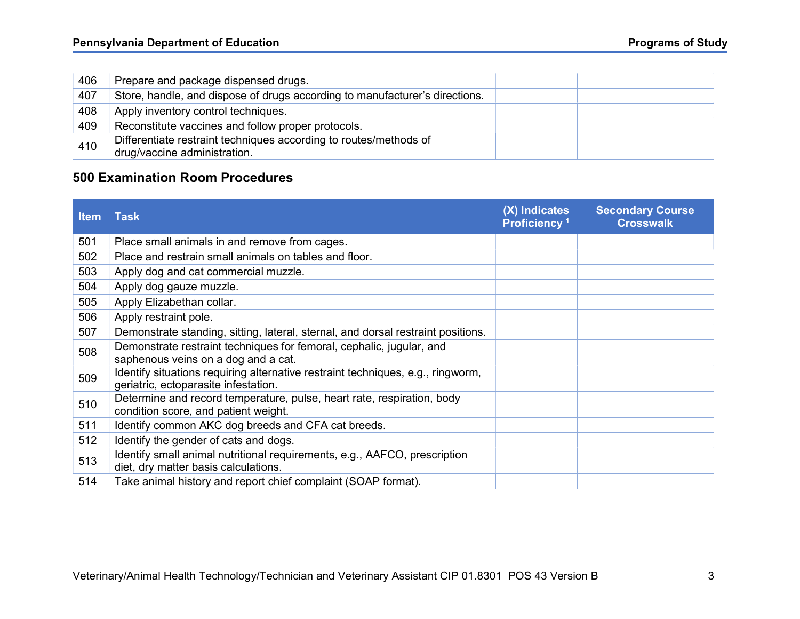| 406 | Prepare and package dispensed drugs.                                                              |  |
|-----|---------------------------------------------------------------------------------------------------|--|
| 407 | Store, handle, and dispose of drugs according to manufacturer's directions.                       |  |
| 408 | Apply inventory control techniques.                                                               |  |
| 409 | Reconstitute vaccines and follow proper protocols.                                                |  |
| 410 | Differentiate restraint techniques according to routes/methods of<br>drug/vaccine administration. |  |

### 500 Examination Room Procedures

| <b>Item</b> | <b>Task</b>                                                                                                             | (X) Indicates<br>Proficiency <sup>1</sup> | <b>Secondary Course</b><br><b>Crosswalk</b> |
|-------------|-------------------------------------------------------------------------------------------------------------------------|-------------------------------------------|---------------------------------------------|
| 501         | Place small animals in and remove from cages.                                                                           |                                           |                                             |
| 502         | Place and restrain small animals on tables and floor.                                                                   |                                           |                                             |
| 503         | Apply dog and cat commercial muzzle.                                                                                    |                                           |                                             |
| 504         | Apply dog gauze muzzle.                                                                                                 |                                           |                                             |
| 505         | Apply Elizabethan collar.                                                                                               |                                           |                                             |
| 506         | Apply restraint pole.                                                                                                   |                                           |                                             |
| 507         | Demonstrate standing, sitting, lateral, sternal, and dorsal restraint positions.                                        |                                           |                                             |
| 508         | Demonstrate restraint techniques for femoral, cephalic, jugular, and<br>saphenous veins on a dog and a cat.             |                                           |                                             |
| 509         | Identify situations requiring alternative restraint techniques, e.g., ringworm,<br>geriatric, ectoparasite infestation. |                                           |                                             |
| 510         | Determine and record temperature, pulse, heart rate, respiration, body<br>condition score, and patient weight.          |                                           |                                             |
| 511         | Identify common AKC dog breeds and CFA cat breeds.                                                                      |                                           |                                             |
| 512         | Identify the gender of cats and dogs.                                                                                   |                                           |                                             |
| 513         | Identify small animal nutritional requirements, e.g., AAFCO, prescription<br>diet, dry matter basis calculations.       |                                           |                                             |
| 514         | Take animal history and report chief complaint (SOAP format).                                                           |                                           |                                             |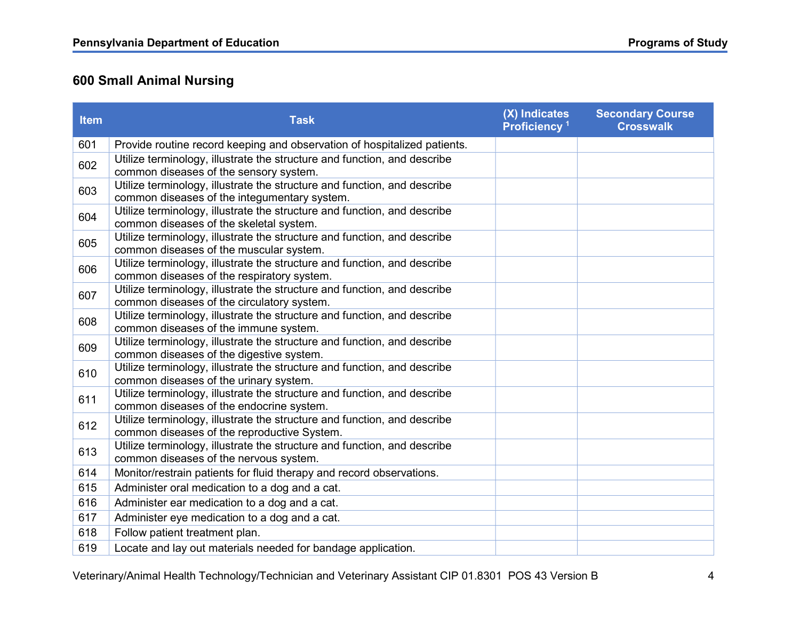# 600 Small Animal Nursing

| <b>Item</b> | <b>Task</b>                                                                                                              | (X) Indicates<br>Proficiency <sup>1</sup> | <b>Secondary Course</b><br><b>Crosswalk</b> |
|-------------|--------------------------------------------------------------------------------------------------------------------------|-------------------------------------------|---------------------------------------------|
| 601         | Provide routine record keeping and observation of hospitalized patients.                                                 |                                           |                                             |
| 602         | Utilize terminology, illustrate the structure and function, and describe<br>common diseases of the sensory system.       |                                           |                                             |
| 603         | Utilize terminology, illustrate the structure and function, and describe<br>common diseases of the integumentary system. |                                           |                                             |
| 604         | Utilize terminology, illustrate the structure and function, and describe<br>common diseases of the skeletal system.      |                                           |                                             |
| 605         | Utilize terminology, illustrate the structure and function, and describe<br>common diseases of the muscular system.      |                                           |                                             |
| 606         | Utilize terminology, illustrate the structure and function, and describe<br>common diseases of the respiratory system.   |                                           |                                             |
| 607         | Utilize terminology, illustrate the structure and function, and describe<br>common diseases of the circulatory system.   |                                           |                                             |
| 608         | Utilize terminology, illustrate the structure and function, and describe<br>common diseases of the immune system.        |                                           |                                             |
| 609         | Utilize terminology, illustrate the structure and function, and describe<br>common diseases of the digestive system.     |                                           |                                             |
| 610         | Utilize terminology, illustrate the structure and function, and describe<br>common diseases of the urinary system.       |                                           |                                             |
| 611         | Utilize terminology, illustrate the structure and function, and describe<br>common diseases of the endocrine system.     |                                           |                                             |
| 612         | Utilize terminology, illustrate the structure and function, and describe<br>common diseases of the reproductive System.  |                                           |                                             |
| 613         | Utilize terminology, illustrate the structure and function, and describe<br>common diseases of the nervous system.       |                                           |                                             |
| 614         | Monitor/restrain patients for fluid therapy and record observations.                                                     |                                           |                                             |
| 615         | Administer oral medication to a dog and a cat.                                                                           |                                           |                                             |
| 616         | Administer ear medication to a dog and a cat.                                                                            |                                           |                                             |
| 617         | Administer eye medication to a dog and a cat.                                                                            |                                           |                                             |
| 618         | Follow patient treatment plan.                                                                                           |                                           |                                             |
| 619         | Locate and lay out materials needed for bandage application.                                                             |                                           |                                             |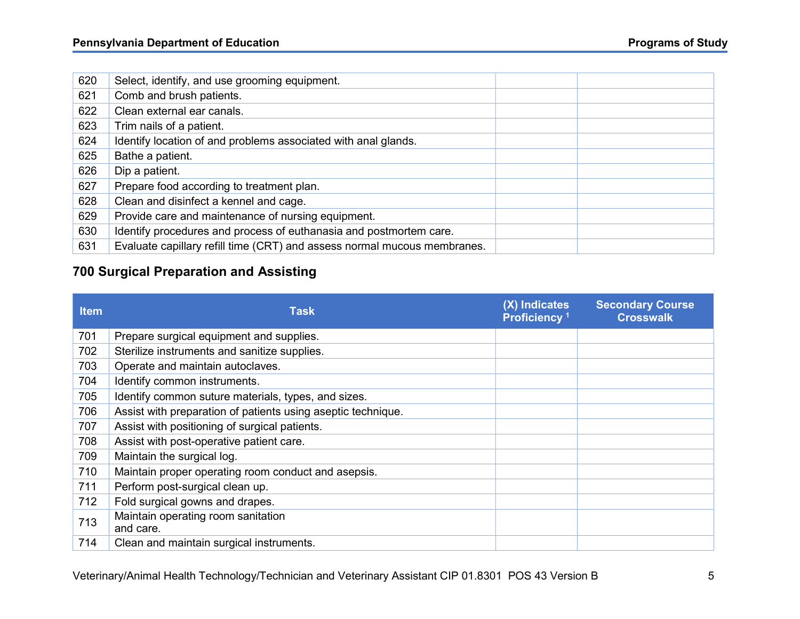| 620 | Select, identify, and use grooming equipment.                            |  |
|-----|--------------------------------------------------------------------------|--|
| 621 | Comb and brush patients.                                                 |  |
| 622 | Clean external ear canals.                                               |  |
| 623 | Trim nails of a patient.                                                 |  |
| 624 | Identify location of and problems associated with anal glands.           |  |
| 625 | Bathe a patient.                                                         |  |
| 626 | Dip a patient.                                                           |  |
| 627 | Prepare food according to treatment plan.                                |  |
| 628 | Clean and disinfect a kennel and cage.                                   |  |
| 629 | Provide care and maintenance of nursing equipment.                       |  |
| 630 | Identify procedures and process of euthanasia and postmortem care.       |  |
| 631 | Evaluate capillary refill time (CRT) and assess normal mucous membranes. |  |

# 700 Surgical Preparation and Assisting

| <b>Item</b> | <b>Task</b>                                                  | (X) Indicates<br>Proficiency <sup>1</sup> | <b>Secondary Course</b><br><b>Crosswalk</b> |
|-------------|--------------------------------------------------------------|-------------------------------------------|---------------------------------------------|
| 701         | Prepare surgical equipment and supplies.                     |                                           |                                             |
| 702         | Sterilize instruments and sanitize supplies.                 |                                           |                                             |
| 703         | Operate and maintain autoclaves.                             |                                           |                                             |
| 704         | Identify common instruments.                                 |                                           |                                             |
| 705         | Identify common suture materials, types, and sizes.          |                                           |                                             |
| 706         | Assist with preparation of patients using aseptic technique. |                                           |                                             |
| 707         | Assist with positioning of surgical patients.                |                                           |                                             |
| 708         | Assist with post-operative patient care.                     |                                           |                                             |
| 709         | Maintain the surgical log.                                   |                                           |                                             |
| 710         | Maintain proper operating room conduct and asepsis.          |                                           |                                             |
| 711         | Perform post-surgical clean up.                              |                                           |                                             |
| 712         | Fold surgical gowns and drapes.                              |                                           |                                             |
| 713         | Maintain operating room sanitation<br>and care.              |                                           |                                             |
| 714         | Clean and maintain surgical instruments.                     |                                           |                                             |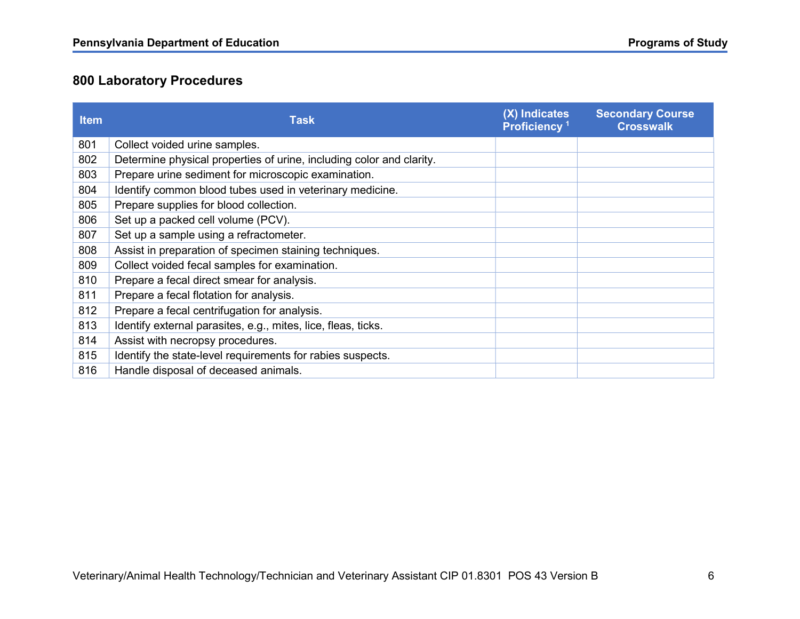# 800 Laboratory Procedures

| <b>Item</b> | <b>Task</b>                                                          | (X) Indicates<br>Proficiency <sup>1</sup> | <b>Secondary Course</b><br><b>Crosswalk</b> |
|-------------|----------------------------------------------------------------------|-------------------------------------------|---------------------------------------------|
| 801         | Collect voided urine samples.                                        |                                           |                                             |
| 802         | Determine physical properties of urine, including color and clarity. |                                           |                                             |
| 803         | Prepare urine sediment for microscopic examination.                  |                                           |                                             |
| 804         | Identify common blood tubes used in veterinary medicine.             |                                           |                                             |
| 805         | Prepare supplies for blood collection.                               |                                           |                                             |
| 806         | Set up a packed cell volume (PCV).                                   |                                           |                                             |
| 807         | Set up a sample using a refractometer.                               |                                           |                                             |
| 808         | Assist in preparation of specimen staining techniques.               |                                           |                                             |
| 809         | Collect voided fecal samples for examination.                        |                                           |                                             |
| 810         | Prepare a fecal direct smear for analysis.                           |                                           |                                             |
| 811         | Prepare a fecal flotation for analysis.                              |                                           |                                             |
| 812         | Prepare a fecal centrifugation for analysis.                         |                                           |                                             |
| 813         | Identify external parasites, e.g., mites, lice, fleas, ticks.        |                                           |                                             |
| 814         | Assist with necropsy procedures.                                     |                                           |                                             |
| 815         | Identify the state-level requirements for rabies suspects.           |                                           |                                             |
| 816         | Handle disposal of deceased animals.                                 |                                           |                                             |